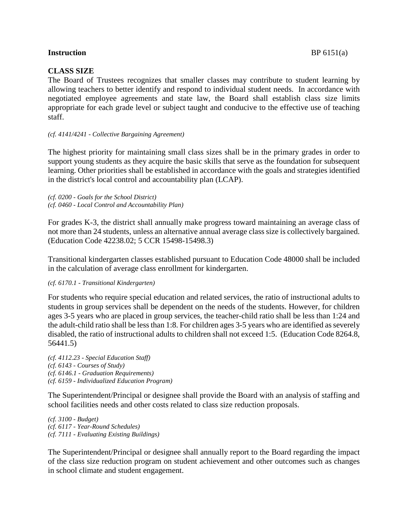## **Instruction** BP 6151(a)

# **CLASS SIZE**

The Board of Trustees recognizes that smaller classes may contribute to student learning by allowing teachers to better identify and respond to individual student needs. In accordance with negotiated employee agreements and state law, the Board shall establish class size limits appropriate for each grade level or subject taught and conducive to the effective use of teaching staff.

### *(cf. 4141/4241 - Collective Bargaining Agreement)*

The highest priority for maintaining small class sizes shall be in the primary grades in order to support young students as they acquire the basic skills that serve as the foundation for subsequent learning. Other priorities shall be established in accordance with the goals and strategies identified in the district's local control and accountability plan (LCAP).

*(cf. 0200 - Goals for the School District) (cf. 0460 - Local Control and Accountability Plan)*

For grades K-3, the district shall annually make progress toward maintaining an average class of not more than 24 students, unless an alternative annual average class size is collectively bargained. (Education Code 42238.02; 5 CCR 15498-15498.3)

Transitional kindergarten classes established pursuant to Education Code 48000 shall be included in the calculation of average class enrollment for kindergarten.

### *(cf. 6170.1 - Transitional Kindergarten)*

For students who require special education and related services, the ratio of instructional adults to students in group services shall be dependent on the needs of the students. However, for children ages 3-5 years who are placed in group services, the teacher-child ratio shall be less than 1:24 and the adult-child ratio shall be less than 1:8. For children ages 3-5 years who are identified as severely disabled, the ratio of instructional adults to children shall not exceed 1:5. (Education Code 8264.8, 56441.5)

*(cf. 4112.23 - Special Education Staff) (cf. 6143 - Courses of Study) (cf. 6146.1 - Graduation Requirements) (cf. 6159 - Individualized Education Program)*

The Superintendent/Principal or designee shall provide the Board with an analysis of staffing and school facilities needs and other costs related to class size reduction proposals.

*(cf. 3100 - Budget) (cf. 6117 - Year-Round Schedules) (cf. 7111 - Evaluating Existing Buildings)*

The Superintendent/Principal or designee shall annually report to the Board regarding the impact of the class size reduction program on student achievement and other outcomes such as changes in school climate and student engagement.